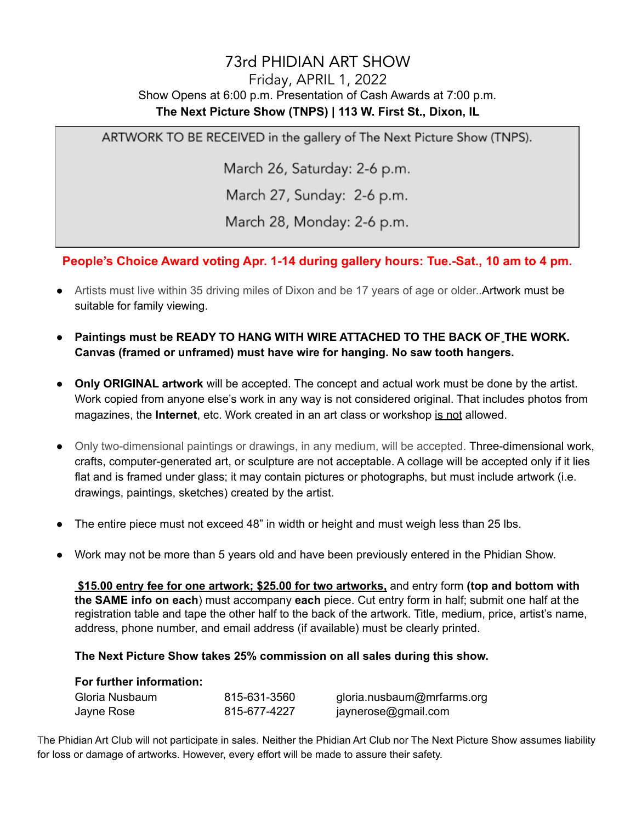## 73rd PHIDIAN ART SHOW

## Friday, APRIL 1, 2022 Show Opens at 6:00 p.m. Presentation of Cash Awards at 7:00 p.m. **The Next Picture Show (TNPS) | 113 W. First St., Dixon, IL**

ARTWORK TO BE RECEIVED in the gallery of The Next Picture Show (TNPS).

March 26, Saturday: 2-6 p.m.

March 27, Sunday: 2-6 p.m.

March 28, Monday: 2-6 p.m.

**People's Choice Award voting Apr. 1-14 during gallery hours: Tue.-Sat., 10 am to 4 pm.**

- Artists must live within 35 driving miles of Dixon and be 17 years of age or older..Artwork must be suitable for family viewing.
- **Paintings must be READY TO HANG WITH WIRE ATTACHED TO THE BACK OF THE WORK. Canvas (framed or unframed) must have wire for hanging. No saw tooth hangers.**
- **Only ORIGINAL artwork** will be accepted. The concept and actual work must be done by the artist. Work copied from anyone else's work in any way is not considered original. That includes photos from magazines, the **Internet**, etc. Work created in an art class or workshop is not allowed.
- Only two-dimensional paintings or drawings, in any medium, will be accepted. Three-dimensional work, crafts, computer-generated art, or sculpture are not acceptable. A collage will be accepted only if it lies flat and is framed under glass; it may contain pictures or photographs, but must include artwork (i.e. drawings, paintings, sketches) created by the artist.
- The entire piece must not exceed 48" in width or height and must weigh less than 25 lbs.
- Work may not be more than 5 years old and have been previously entered in the Phidian Show.

**\$15.00 entry fee for one artwork; \$25.00 for two artworks,** and entry form **(top and bottom with the SAME info on each**) must accompany **each** piece. Cut entry form in half; submit one half at the registration table and tape the other half to the back of the artwork. Title, medium, price, artist's name, address, phone number, and email address (if available) must be clearly printed.

## **The Next Picture Show takes 25% commission on all sales during this show.**

## **For further information:**

| Gloria Nusbaum | 815-631-3560 | gloria.nusbaum@mrfarms.org |
|----------------|--------------|----------------------------|
| Jayne Rose     | 815-677-4227 | jaynerose@gmail.com        |

The Phidian Art Club will not participate in sales. Neither the Phidian Art Club nor The Next Picture Show assumes liability for loss or damage of artworks. However, every effort will be made to assure their safety.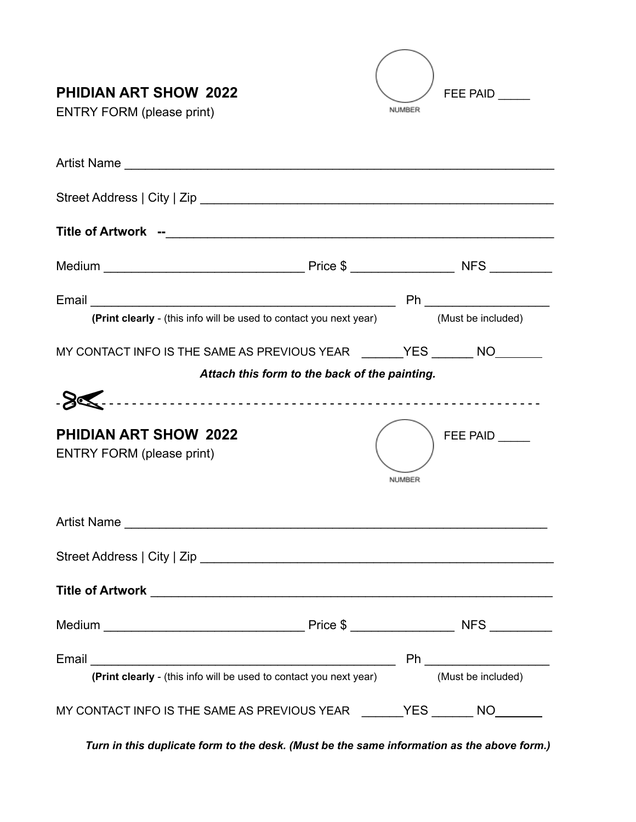| <b>PHIDIAN ART SHOW 2022</b><br><b>ENTRY FORM (please print)</b>                      | NUMBER | <b>FEE PAID</b> |
|---------------------------------------------------------------------------------------|--------|-----------------|
|                                                                                       |        |                 |
|                                                                                       |        |                 |
|                                                                                       |        |                 |
|                                                                                       |        |                 |
|                                                                                       |        |                 |
| (Print clearly - (this info will be used to contact you next year) (Must be included) |        |                 |
| MY CONTACT INFO IS THE SAME AS PREVIOUS YEAR THE YES NO THE MO                        |        |                 |
| Attach this form to the back of the painting.                                         |        |                 |
|                                                                                       |        |                 |
| <b>PHIDIAN ART SHOW 2022</b><br><b>ENTRY FORM (please print)</b>                      | NUMBER | FEE PAID        |
|                                                                                       |        |                 |
|                                                                                       |        |                 |
|                                                                                       |        |                 |
|                                                                                       |        |                 |
| (Print clearly - (this info will be used to contact you next year) (Must be included) |        |                 |
| MY CONTACT INFO IS THE SAME AS PREVIOUS YEAR _______YES _______ NO_______             |        |                 |

*Turn in this duplicate form to the desk. (Must be the same information as the above form.)*